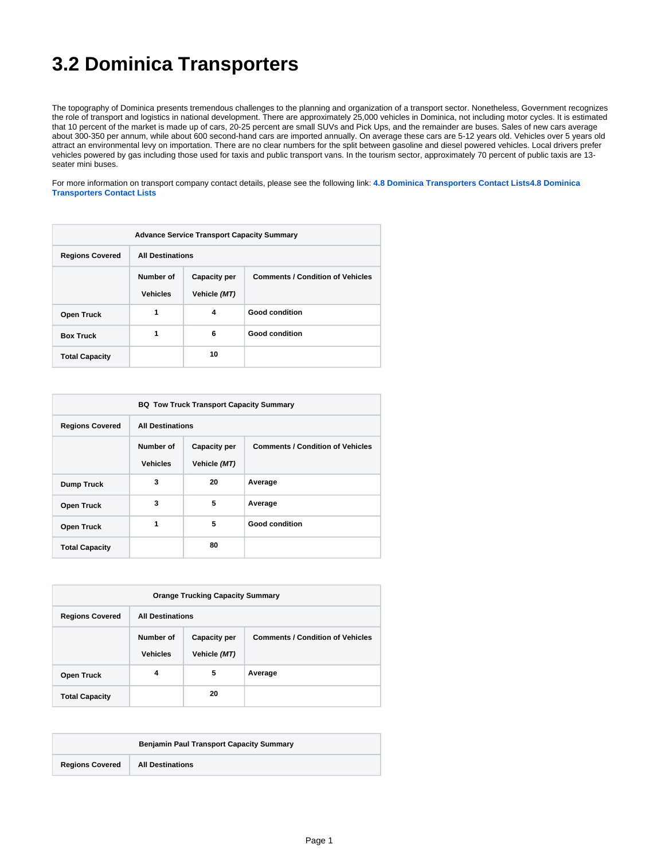## **3.2 Dominica Transporters**

The topography of Dominica presents tremendous challenges to the planning and organization of a transport sector. Nonetheless, Government recognizes the role of transport and logistics in national development. There are approximately 25,000 vehicles in Dominica, not including motor cycles. It is estimated that 10 percent of the market is made up of cars, 20-25 percent are small SUVs and Pick Ups, and the remainder are buses. Sales of new cars average about 300-350 per annum, while about 600 second-hand cars are imported annually. On average these cars are 5-12 years old. Vehicles over 5 years old attract an environmental levy on importation. There are no clear numbers for the split between gasoline and diesel powered vehicles. Local drivers prefer vehicles powered by gas including those used for taxis and public transport vans. In the tourism sector, approximately 70 percent of public taxis are 13 seater mini buses.

For more information on transport company contact details, please see the following link: **[4.8 Dominica Transporters Contact Lists4.8 Dominica](https://dlca.logcluster.org/display/DLCA/4.8+Dominica+Transporters+Contact+Lists)  [Transporters Contact Lists](https://dlca.logcluster.org/display/DLCA/4.8+Dominica+Transporters+Contact+Lists)**

| <b>Advance Service Transport Capacity Summary</b> |                              |                                     |                                         |
|---------------------------------------------------|------------------------------|-------------------------------------|-----------------------------------------|
| <b>Regions Covered</b>                            | <b>All Destinations</b>      |                                     |                                         |
|                                                   | Number of<br><b>Vehicles</b> | <b>Capacity per</b><br>Vehicle (MT) | <b>Comments / Condition of Vehicles</b> |
| <b>Open Truck</b>                                 | 1                            | 4                                   | <b>Good condition</b>                   |
| <b>Box Truck</b>                                  | 1                            | 6                                   | <b>Good condition</b>                   |
| <b>Total Capacity</b>                             |                              | 10                                  |                                         |

| <b>BQ Tow Truck Transport Capacity Summary</b> |                              |                                     |                                         |
|------------------------------------------------|------------------------------|-------------------------------------|-----------------------------------------|
| <b>Regions Covered</b>                         | <b>All Destinations</b>      |                                     |                                         |
|                                                | Number of<br><b>Vehicles</b> | <b>Capacity per</b><br>Vehicle (MT) | <b>Comments / Condition of Vehicles</b> |
| <b>Dump Truck</b>                              | 3                            | 20                                  | Average                                 |
| <b>Open Truck</b>                              | 3                            | 5                                   | Average                                 |
| <b>Open Truck</b>                              | 1                            | 5                                   | <b>Good condition</b>                   |
| <b>Total Capacity</b>                          |                              | 80                                  |                                         |

| <b>Orange Trucking Capacity Summary</b> |                              |                                     |                                         |
|-----------------------------------------|------------------------------|-------------------------------------|-----------------------------------------|
| <b>Regions Covered</b>                  | <b>All Destinations</b>      |                                     |                                         |
|                                         | Number of<br><b>Vehicles</b> | <b>Capacity per</b><br>Vehicle (MT) | <b>Comments / Condition of Vehicles</b> |
| <b>Open Truck</b>                       | 4                            | 5                                   | Average                                 |
| <b>Total Capacity</b>                   |                              | 20                                  |                                         |

|                        | <b>Benjamin Paul Transport Capacity Summary</b> |  |  |
|------------------------|-------------------------------------------------|--|--|
| <b>Regions Covered</b> | <b>All Destinations</b>                         |  |  |